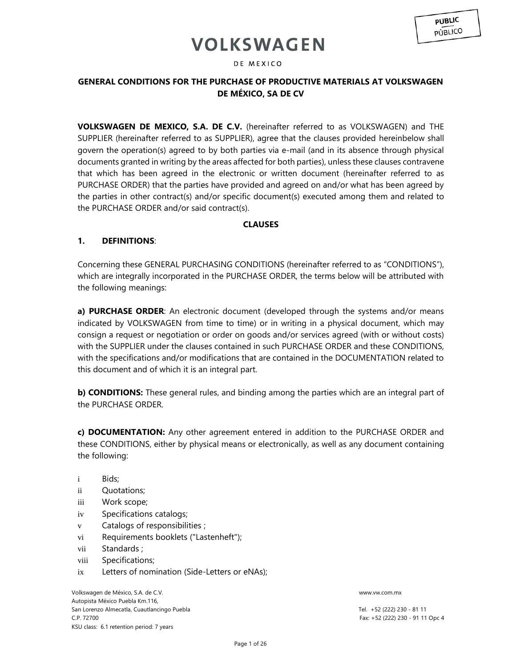### DE MEXICO

## **GENERAL CONDITIONS FOR THE PURCHASE OF PRODUCTIVE MATERIALS AT VOLKSWAGEN DE MÉXICO, SA DE CV**

**VOLKSWAGEN DE MEXICO, S.A. DE C.V.** (hereinafter referred to as VOLKSWAGEN) and THE SUPPLIER (hereinafter referred to as SUPPLIER), agree that the clauses provided hereinbelow shall govern the operation(s) agreed to by both parties via e-mail (and in its absence through physical documents granted in writing by the areas affected for both parties), unless these clauses contravene that which has been agreed in the electronic or written document (hereinafter referred to as PURCHASE ORDER) that the parties have provided and agreed on and/or what has been agreed by the parties in other contract(s) and/or specific document(s) executed among them and related to the PURCHASE ORDER and/or said contract(s).

## **CLAUSES**

## **1. DEFINITIONS**:

Concerning these GENERAL PURCHASING CONDITIONS (hereinafter referred to as "CONDITIONS"), which are integrally incorporated in the PURCHASE ORDER, the terms below will be attributed with the following meanings:

**a) PURCHASE ORDER:** An electronic document (developed through the systems and/or means indicated by VOLKSWAGEN from time to time) or in writing in a physical document, which may consign a request or negotiation or order on goods and/or services agreed (with or without costs) with the SUPPLIER under the clauses contained in such PURCHASE ORDER and these CONDITIONS, with the specifications and/or modifications that are contained in the DOCUMENTATION related to this document and of which it is an integral part.

**b) CONDITIONS:** These general rules, and binding among the parties which are an integral part of the PURCHASE ORDER.

**c) DOCUMENTATION:** Any other agreement entered in addition to the PURCHASE ORDER and these CONDITIONS, either by physical means or electronically, as well as any document containing the following:

- i Bids;
- ii Quotations;
- iii Work scope;
- iv Specifications catalogs;
- v Catalogs of responsibilities ;
- vi Requirements booklets ("Lastenheft");
- vii Standards ;
- viii Specifications;
- ix Letters of nomination (Side-Letters or eNAs);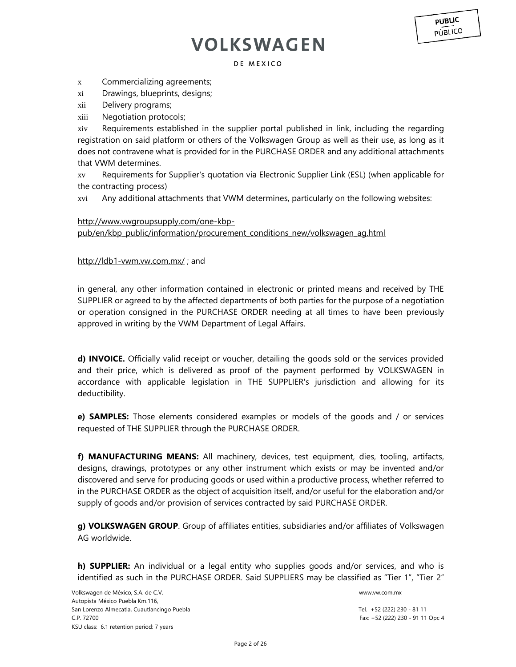DE MEXICO

x Commercializing agreements;

- xi Drawings, blueprints, designs;
- xii Delivery programs;
- xiii Negotiation protocols;

xiv Requirements established in the supplier portal published in link, including the regarding registration on said platform or others of the Volkswagen Group as well as their use, as long as it does not contravene what is provided for in the PURCHASE ORDER and any additional attachments that VWM determines.

xv Requirements for Supplier's quotation via Electronic Supplier Link (ESL) (when applicable for the contracting process)

xvi Any additional attachments that VWM determines, particularly on the following websites:

### [http://www.vwgroupsupply.com/one-kbp-](http://www.vwgroupsupply.com/one-kbp-pub/en/kbp_public/information/procurement_conditions_new/volkswagen_ag.html)

[pub/en/kbp\\_public/information/procurement\\_conditions\\_new/volkswagen\\_ag.html](http://www.vwgroupsupply.com/one-kbp-pub/en/kbp_public/information/procurement_conditions_new/volkswagen_ag.html)

### <http://ldb1-vwm.vw.com.mx/> ; and

in general, any other information contained in electronic or printed means and received by THE SUPPLIER or agreed to by the affected departments of both parties for the purpose of a negotiation or operation consigned in the PURCHASE ORDER needing at all times to have been previously approved in writing by the VWM Department of Legal Affairs.

**d) INVOICE.** Officially valid receipt or voucher, detailing the goods sold or the services provided and their price, which is delivered as proof of the payment performed by VOLKSWAGEN in accordance with applicable legislation in THE SUPPLIER's jurisdiction and allowing for its deductibility.

**e) SAMPLES:** Those elements considered examples or models of the goods and / or services requested of THE SUPPLIER through the PURCHASE ORDER.

**f) MANUFACTURING MEANS:** All machinery, devices, test equipment, dies, tooling, artifacts, designs, drawings, prototypes or any other instrument which exists or may be invented and/or discovered and serve for producing goods or used within a productive process, whether referred to in the PURCHASE ORDER as the object of acquisition itself, and/or useful for the elaboration and/or supply of goods and/or provision of services contracted by said PURCHASE ORDER.

**g) VOLKSWAGEN GROUP**. Group of affiliates entities, subsidiaries and/or affiliates of Volkswagen AG worldwide.

**h) SUPPLIER:** An individual or a legal entity who supplies goods and/or services, and who is identified as such in the PURCHASE ORDER. Said SUPPLIERS may be classified as "Tier 1", "Tier 2"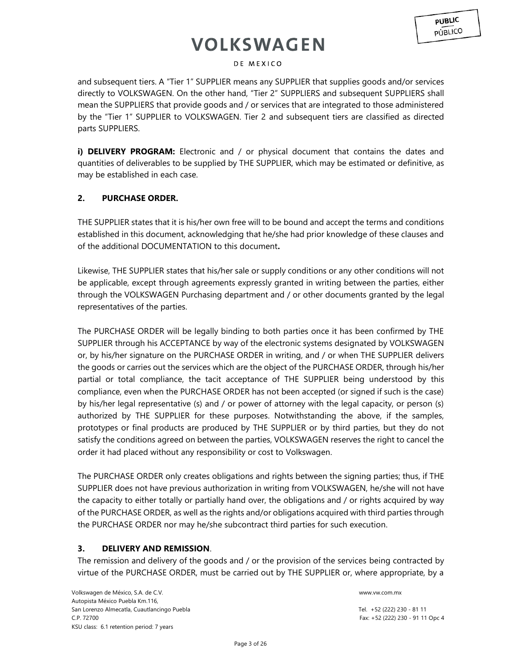### DE MEXICO

and subsequent tiers. A "Tier 1" SUPPLIER means any SUPPLIER that supplies goods and/or services directly to VOLKSWAGEN. On the other hand, "Tier 2" SUPPLIERS and subsequent SUPPLIERS shall mean the SUPPLIERS that provide goods and / or services that are integrated to those administered by the "Tier 1" SUPPLIER to VOLKSWAGEN. Tier 2 and subsequent tiers are classified as directed parts SUPPLIERS.

**i) DELIVERY PROGRAM:** Electronic and / or physical document that contains the dates and quantities of deliverables to be supplied by THE SUPPLIER, which may be estimated or definitive, as may be established in each case.

### **2. PURCHASE ORDER.**

THE SUPPLIER states that it is his/her own free will to be bound and accept the terms and conditions established in this document, acknowledging that he/she had prior knowledge of these clauses and of the additional DOCUMENTATION to this document**.**

Likewise, THE SUPPLIER states that his/her sale or supply conditions or any other conditions will not be applicable, except through agreements expressly granted in writing between the parties, either through the VOLKSWAGEN Purchasing department and / or other documents granted by the legal representatives of the parties.

The PURCHASE ORDER will be legally binding to both parties once it has been confirmed by THE SUPPLIER through his ACCEPTANCE by way of the electronic systems designated by VOLKSWAGEN or, by his/her signature on the PURCHASE ORDER in writing, and / or when THE SUPPLIER delivers the goods or carries out the services which are the object of the PURCHASE ORDER, through his/her partial or total compliance, the tacit acceptance of THE SUPPLIER being understood by this compliance, even when the PURCHASE ORDER has not been accepted (or signed if such is the case) by his/her legal representative (s) and / or power of attorney with the legal capacity, or person (s) authorized by THE SUPPLIER for these purposes. Notwithstanding the above, if the samples, prototypes or final products are produced by THE SUPPLIER or by third parties, but they do not satisfy the conditions agreed on between the parties, VOLKSWAGEN reserves the right to cancel the order it had placed without any responsibility or cost to Volkswagen.

The PURCHASE ORDER only creates obligations and rights between the signing parties; thus, if THE SUPPLIER does not have previous authorization in writing from VOLKSWAGEN, he/she will not have the capacity to either totally or partially hand over, the obligations and / or rights acquired by way of the PURCHASE ORDER, as well as the rights and/or obligations acquired with third parties through the PURCHASE ORDER nor may he/she subcontract third parties for such execution.

## **3. DELIVERY AND REMISSION**.

The remission and delivery of the goods and / or the provision of the services being contracted by virtue of the PURCHASE ORDER, must be carried out by THE SUPPLIER or, where appropriate, by a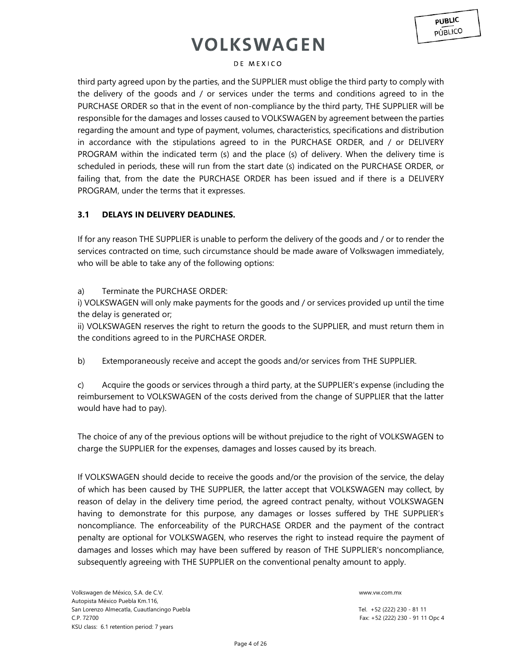#### DE MEXICO

third party agreed upon by the parties, and the SUPPLIER must oblige the third party to comply with the delivery of the goods and / or services under the terms and conditions agreed to in the PURCHASE ORDER so that in the event of non-compliance by the third party, THE SUPPLIER will be responsible for the damages and losses caused to VOLKSWAGEN by agreement between the parties regarding the amount and type of payment, volumes, characteristics, specifications and distribution in accordance with the stipulations agreed to in the PURCHASE ORDER, and / or DELIVERY PROGRAM within the indicated term (s) and the place (s) of delivery. When the delivery time is scheduled in periods, these will run from the start date (s) indicated on the PURCHASE ORDER, or failing that, from the date the PURCHASE ORDER has been issued and if there is a DELIVERY PROGRAM, under the terms that it expresses.

### **3.1 DELAYS IN DELIVERY DEADLINES.**

If for any reason THE SUPPLIER is unable to perform the delivery of the goods and / or to render the services contracted on time, such circumstance should be made aware of Volkswagen immediately, who will be able to take any of the following options:

### a) Terminate the PURCHASE ORDER:

i) VOLKSWAGEN will only make payments for the goods and / or services provided up until the time the delay is generated or;

ii) VOLKSWAGEN reserves the right to return the goods to the SUPPLIER, and must return them in the conditions agreed to in the PURCHASE ORDER.

b) Extemporaneously receive and accept the goods and/or services from THE SUPPLIER.

c) Acquire the goods or services through a third party, at the SUPPLIER's expense (including the reimbursement to VOLKSWAGEN of the costs derived from the change of SUPPLIER that the latter would have had to pay).

The choice of any of the previous options will be without prejudice to the right of VOLKSWAGEN to charge the SUPPLIER for the expenses, damages and losses caused by its breach.

If VOLKSWAGEN should decide to receive the goods and/or the provision of the service, the delay of which has been caused by THE SUPPLIER, the latter accept that VOLKSWAGEN may collect, by reason of delay in the delivery time period, the agreed contract penalty, without VOLKSWAGEN having to demonstrate for this purpose, any damages or losses suffered by THE SUPPLIER's noncompliance. The enforceability of the PURCHASE ORDER and the payment of the contract penalty are optional for VOLKSWAGEN, who reserves the right to instead require the payment of damages and losses which may have been suffered by reason of THE SUPPLIER's noncompliance, subsequently agreeing with THE SUPPLIER on the conventional penalty amount to apply.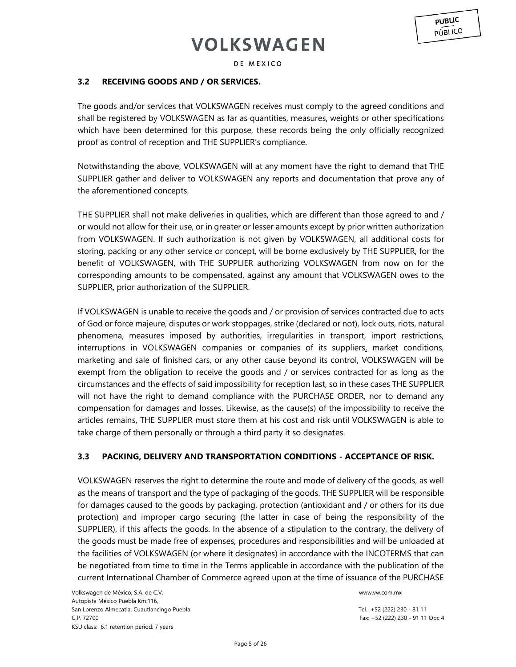DE MEXICO

## **3.2 RECEIVING GOODS AND / OR SERVICES.**

The goods and/or services that VOLKSWAGEN receives must comply to the agreed conditions and shall be registered by VOLKSWAGEN as far as quantities, measures, weights or other specifications which have been determined for this purpose, these records being the only officially recognized proof as control of reception and THE SUPPLIER's compliance.

Notwithstanding the above, VOLKSWAGEN will at any moment have the right to demand that THE SUPPLIER gather and deliver to VOLKSWAGEN any reports and documentation that prove any of the aforementioned concepts.

THE SUPPLIER shall not make deliveries in qualities, which are different than those agreed to and / or would not allow for their use, or in greater or lesser amounts except by prior written authorization from VOLKSWAGEN. If such authorization is not given by VOLKSWAGEN, all additional costs for storing, packing or any other service or concept, will be borne exclusively by THE SUPPLIER, for the benefit of VOLKSWAGEN, with THE SUPPLIER authorizing VOLKSWAGEN from now on for the corresponding amounts to be compensated, against any amount that VOLKSWAGEN owes to the SUPPLIER, prior authorization of the SUPPLIER.

If VOLKSWAGEN is unable to receive the goods and / or provision of services contracted due to acts of God or force majeure, disputes or work stoppages, strike (declared or not), lock outs, riots, natural phenomena, measures imposed by authorities, irregularities in transport, import restrictions, interruptions in VOLKSWAGEN companies or companies of its suppliers, market conditions, marketing and sale of finished cars, or any other cause beyond its control, VOLKSWAGEN will be exempt from the obligation to receive the goods and / or services contracted for as long as the circumstances and the effects of said impossibility for reception last, so in these cases THE SUPPLIER will not have the right to demand compliance with the PURCHASE ORDER, nor to demand any compensation for damages and losses. Likewise, as the cause(s) of the impossibility to receive the articles remains, THE SUPPLIER must store them at his cost and risk until VOLKSWAGEN is able to take charge of them personally or through a third party it so designates.

## **3.3 PACKING, DELIVERY AND TRANSPORTATION CONDITIONS - ACCEPTANCE OF RISK.**

VOLKSWAGEN reserves the right to determine the route and mode of delivery of the goods, as well as the means of transport and the type of packaging of the goods. THE SUPPLIER will be responsible for damages caused to the goods by packaging, protection (antioxidant and / or others for its due protection) and improper cargo securing (the latter in case of being the responsibility of the SUPPLIER), if this affects the goods. In the absence of a stipulation to the contrary, the delivery of the goods must be made free of expenses, procedures and responsibilities and will be unloaded at the facilities of VOLKSWAGEN (or where it designates) in accordance with the INCOTERMS that can be negotiated from time to time in the Terms applicable in accordance with the publication of the current International Chamber of Commerce agreed upon at the time of issuance of the PURCHASE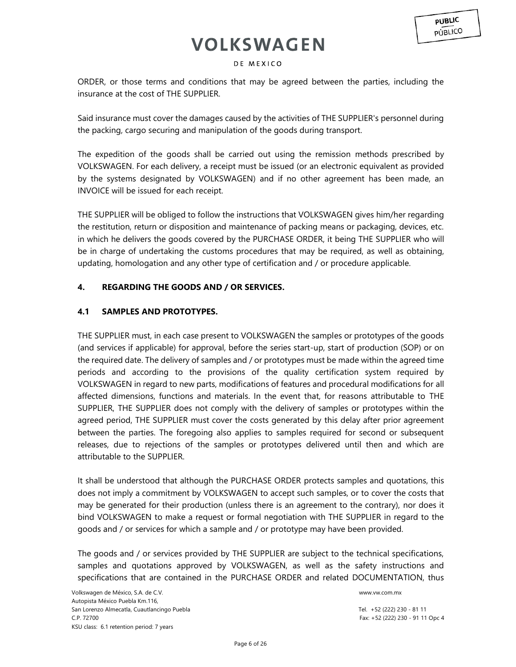### DE MEXICO

ORDER, or those terms and conditions that may be agreed between the parties, including the insurance at the cost of THE SUPPLIER.

Said insurance must cover the damages caused by the activities of THE SUPPLIER's personnel during the packing, cargo securing and manipulation of the goods during transport.

The expedition of the goods shall be carried out using the remission methods prescribed by VOLKSWAGEN. For each delivery, a receipt must be issued (or an electronic equivalent as provided by the systems designated by VOLKSWAGEN) and if no other agreement has been made, an INVOICE will be issued for each receipt.

THE SUPPLIER will be obliged to follow the instructions that VOLKSWAGEN gives him/her regarding the restitution, return or disposition and maintenance of packing means or packaging, devices, etc. in which he delivers the goods covered by the PURCHASE ORDER, it being THE SUPPLIER who will be in charge of undertaking the customs procedures that may be required, as well as obtaining, updating, homologation and any other type of certification and / or procedure applicable.

## **4. REGARDING THE GOODS AND / OR SERVICES.**

## **4.1 SAMPLES AND PROTOTYPES.**

THE SUPPLIER must, in each case present to VOLKSWAGEN the samples or prototypes of the goods (and services if applicable) for approval, before the series start-up, start of production (SOP) or on the required date. The delivery of samples and / or prototypes must be made within the agreed time periods and according to the provisions of the quality certification system required by VOLKSWAGEN in regard to new parts, modifications of features and procedural modifications for all affected dimensions, functions and materials. In the event that, for reasons attributable to THE SUPPLIER, THE SUPPLIER does not comply with the delivery of samples or prototypes within the agreed period, THE SUPPLIER must cover the costs generated by this delay after prior agreement between the parties. The foregoing also applies to samples required for second or subsequent releases, due to rejections of the samples or prototypes delivered until then and which are attributable to the SUPPLIER.

It shall be understood that although the PURCHASE ORDER protects samples and quotations, this does not imply a commitment by VOLKSWAGEN to accept such samples, or to cover the costs that may be generated for their production (unless there is an agreement to the contrary), nor does it bind VOLKSWAGEN to make a request or formal negotiation with THE SUPPLIER in regard to the goods and / or services for which a sample and / or prototype may have been provided.

The goods and / or services provided by THE SUPPLIER are subject to the technical specifications, samples and quotations approved by VOLKSWAGEN, as well as the safety instructions and specifications that are contained in the PURCHASE ORDER and related DOCUMENTATION, thus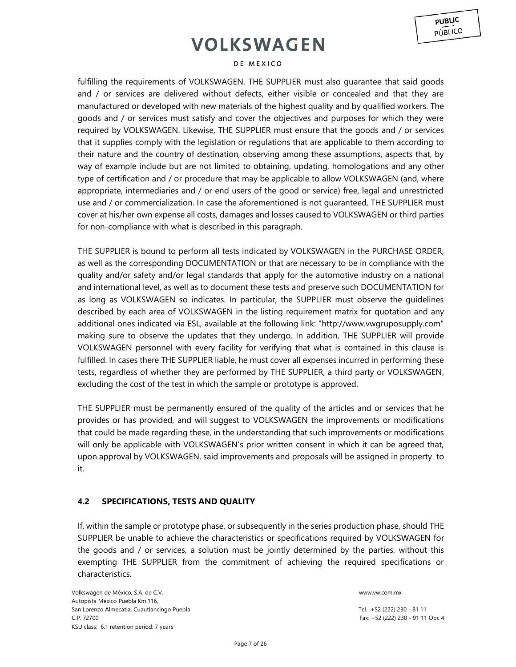#### DE MEXICO

fulfilling the requirements of VOLKSWAGEN. THE SUPPLIER must also guarantee that said goods and / or services are delivered without defects, either visible or concealed and that they are manufactured or developed with new materials of the highest quality and by qualified workers. The goods and / or services must satisfy and cover the objectives and purposes for which they were required by VOLKSWAGEN. Likewise, THE SUPPLIER must ensure that the goods and / or services that it supplies comply with the legislation or regulations that are applicable to them according to their nature and the country of destination, observing among these assumptions, aspects that, by way of example include but are not limited to obtaining, updating, homologations and any other type of certification and / or procedure that may be applicable to allow VOLKSWAGEN (and, where appropriate, intermediaries and / or end users of the good or service) free, legal and unrestricted use and / or commercialization. In case the aforementioned is not guaranteed, THE SUPPLIER must cover at his/her own expense all costs, damages and losses caused to VOLKSWAGEN or third parties for non-compliance with what is described in this paragraph.

THE SUPPLIER is bound to perform all tests indicated by VOLKSWAGEN in the PURCHASE ORDER, as well as the corresponding DOCUMENTATION or that are necessary to be in compliance with the quality and/or safety and/or legal standards that apply for the automotive industry on a national and international level, as well as to document these tests and preserve such DOCUMENTATION for as long as VOLKSWAGEN so indicates. In particular, the SUPPLIER must observe the guidelines described by each area of VOLKSWAGEN in the listing requirement matrix for quotation and any additional ones indicated via ESL, available at the following link: "http://www.vwgruposupply.com" making sure to observe the updates that they undergo. In addition, THE SUPPLIER will provide VOLKSWAGEN personnel with every facility for verifying that what is contained in this clause is fulfilled. In cases there THE SUPPLIER liable, he must cover all expenses incurred in performing these tests, regardless of whether they are performed by THE SUPPLIER, a third party or VOLKSWAGEN, excluding the cost of the test in which the sample or prototype is approved.

THE SUPPLIER must be permanently ensured of the quality of the articles and or services that he provides or has provided, and will suggest to VOLKSWAGEN the improvements or modifications that could be made regarding these, in the understanding that such improvements or modifications will only be applicable with VOLKSWAGEN's prior written consent in which it can be agreed that, upon approval by VOLKSWAGEN, said improvements and proposals will be assigned in property to it.

### **4.2 SPECIFICATIONS, TESTS AND QUALITY**

If, within the sample or prototype phase, or subsequently in the series production phase, should THE SUPPLIER be unable to achieve the characteristics or specifications required by VOLKSWAGEN for the goods and / or services, a solution must be jointly determined by the parties, without this exempting THE SUPPLIER from the commitment of achieving the required specifications or characteristics.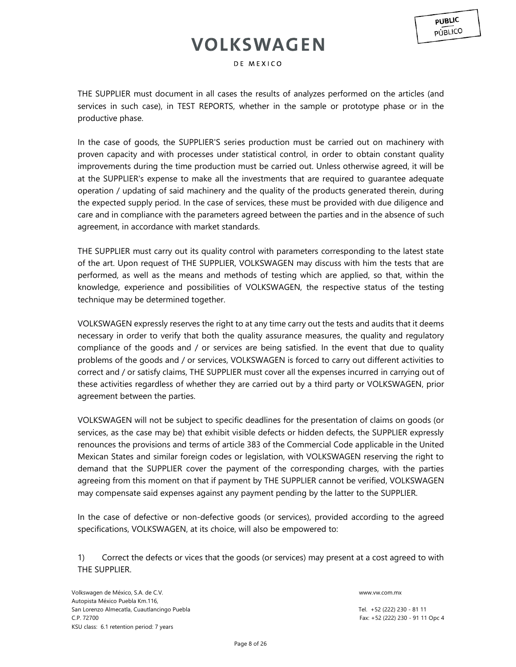DE MEXICO

THE SUPPLIER must document in all cases the results of analyzes performed on the articles (and services in such case), in TEST REPORTS, whether in the sample or prototype phase or in the productive phase.

In the case of goods, the SUPPLIER'S series production must be carried out on machinery with proven capacity and with processes under statistical control, in order to obtain constant quality improvements during the time production must be carried out. Unless otherwise agreed, it will be at the SUPPLIER's expense to make all the investments that are required to guarantee adequate operation / updating of said machinery and the quality of the products generated therein, during the expected supply period. In the case of services, these must be provided with due diligence and care and in compliance with the parameters agreed between the parties and in the absence of such agreement, in accordance with market standards.

THE SUPPLIER must carry out its quality control with parameters corresponding to the latest state of the art. Upon request of THE SUPPLIER, VOLKSWAGEN may discuss with him the tests that are performed, as well as the means and methods of testing which are applied, so that, within the knowledge, experience and possibilities of VOLKSWAGEN, the respective status of the testing technique may be determined together.

VOLKSWAGEN expressly reserves the right to at any time carry out the tests and audits that it deems necessary in order to verify that both the quality assurance measures, the quality and regulatory compliance of the goods and / or services are being satisfied. In the event that due to quality problems of the goods and / or services, VOLKSWAGEN is forced to carry out different activities to correct and / or satisfy claims, THE SUPPLIER must cover all the expenses incurred in carrying out of these activities regardless of whether they are carried out by a third party or VOLKSWAGEN, prior agreement between the parties.

VOLKSWAGEN will not be subject to specific deadlines for the presentation of claims on goods (or services, as the case may be) that exhibit visible defects or hidden defects, the SUPPLIER expressly renounces the provisions and terms of article 383 of the Commercial Code applicable in the United Mexican States and similar foreign codes or legislation, with VOLKSWAGEN reserving the right to demand that the SUPPLIER cover the payment of the corresponding charges, with the parties agreeing from this moment on that if payment by THE SUPPLIER cannot be verified, VOLKSWAGEN may compensate said expenses against any payment pending by the latter to the SUPPLIER.

In the case of defective or non-defective goods (or services), provided according to the agreed specifications, VOLKSWAGEN, at its choice, will also be empowered to:

1) Correct the defects or vices that the goods (or services) may present at a cost agreed to with THE SUPPLIER.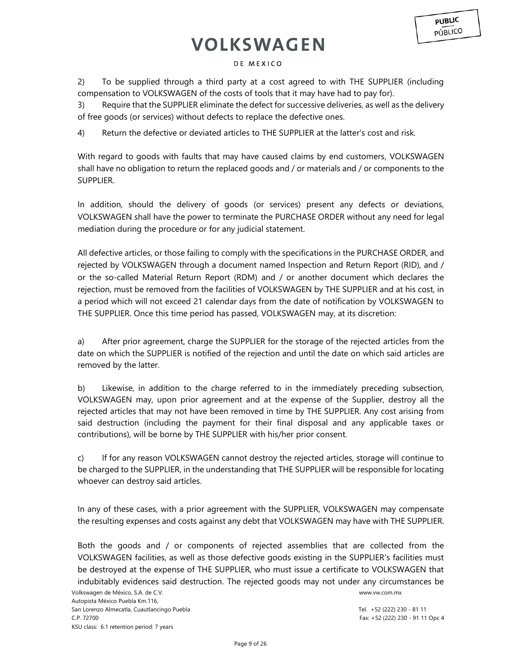2) To be supplied through a third party at a cost agreed to with THE SUPPLIER (including compensation to VOLKSWAGEN of the costs of tools that it may have had to pay for).

3) Require that the SUPPLIER eliminate the defect for successive deliveries, as well as the delivery of free goods (or services) without defects to replace the defective ones.

4) Return the defective or deviated articles to THE SUPPLIER at the latter's cost and risk.

With regard to goods with faults that may have caused claims by end customers, VOLKSWAGEN shall have no obligation to return the replaced goods and / or materials and / or components to the SUPPLIER.

In addition, should the delivery of goods (or services) present any defects or deviations, VOLKSWAGEN shall have the power to terminate the PURCHASE ORDER without any need for legal mediation during the procedure or for any judicial statement.

All defective articles, or those failing to comply with the specifications in the PURCHASE ORDER, and rejected by VOLKSWAGEN through a document named Inspection and Return Report (RID), and / or the so-called Material Return Report (RDM) and / or another document which declares the rejection, must be removed from the facilities of VOLKSWAGEN by THE SUPPLIER and at his cost, in a period which will not exceed 21 calendar days from the date of notification by VOLKSWAGEN to THE SUPPLIER. Once this time period has passed, VOLKSWAGEN may, at its discretion:

a) After prior agreement, charge the SUPPLIER for the storage of the rejected articles from the date on which the SUPPLIER is notified of the rejection and until the date on which said articles are removed by the latter.

b) Likewise, in addition to the charge referred to in the immediately preceding subsection, VOLKSWAGEN may, upon prior agreement and at the expense of the Supplier, destroy all the rejected articles that may not have been removed in time by THE SUPPLIER. Any cost arising from said destruction (including the payment for their final disposal and any applicable taxes or contributions), will be borne by THE SUPPLIER with his/her prior consent.

c) If for any reason VOLKSWAGEN cannot destroy the rejected articles, storage will continue to be charged to the SUPPLIER, in the understanding that THE SUPPLIER will be responsible for locating whoever can destroy said articles.

In any of these cases, with a prior agreement with the SUPPLIER, VOLKSWAGEN may compensate the resulting expenses and costs against any debt that VOLKSWAGEN may have with THE SUPPLIER.

Both the goods and / or components of rejected assemblies that are collected from the VOLKSWAGEN facilities, as well as those defective goods existing in the SUPPLIER's facilities must be destroyed at the expense of THE SUPPLIER, who must issue a certificate to VOLKSWAGEN that indubitably evidences said destruction. The rejected goods may not under any circumstances be

**PUBLIC** PÚBLICO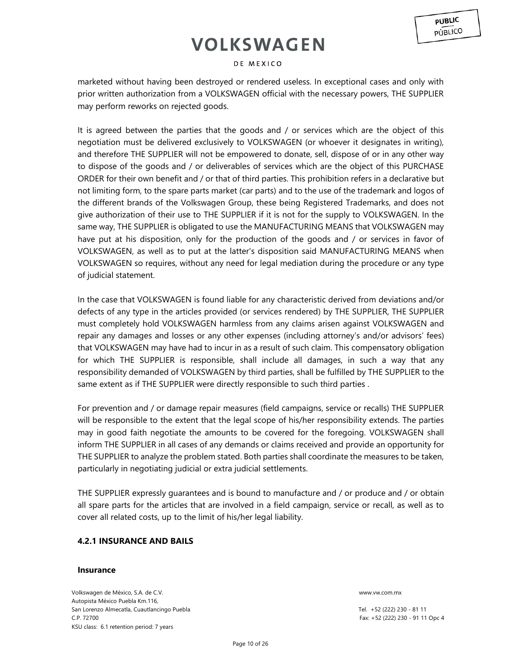#### DE MEXICO

marketed without having been destroyed or rendered useless. In exceptional cases and only with prior written authorization from a VOLKSWAGEN official with the necessary powers, THE SUPPLIER may perform reworks on rejected goods.

It is agreed between the parties that the goods and / or services which are the object of this negotiation must be delivered exclusively to VOLKSWAGEN (or whoever it designates in writing), and therefore THE SUPPLIER will not be empowered to donate, sell, dispose of or in any other way to dispose of the goods and / or deliverables of services which are the object of this PURCHASE ORDER for their own benefit and / or that of third parties. This prohibition refers in a declarative but not limiting form, to the spare parts market (car parts) and to the use of the trademark and logos of the different brands of the Volkswagen Group, these being Registered Trademarks, and does not give authorization of their use to THE SUPPLIER if it is not for the supply to VOLKSWAGEN. In the same way, THE SUPPLIER is obligated to use the MANUFACTURING MEANS that VOLKSWAGEN may have put at his disposition, only for the production of the goods and / or services in favor of VOLKSWAGEN, as well as to put at the latter's disposition said MANUFACTURING MEANS when VOLKSWAGEN so requires, without any need for legal mediation during the procedure or any type of judicial statement.

In the case that VOLKSWAGEN is found liable for any characteristic derived from deviations and/or defects of any type in the articles provided (or services rendered) by THE SUPPLIER, THE SUPPLIER must completely hold VOLKSWAGEN harmless from any claims arisen against VOLKSWAGEN and repair any damages and losses or any other expenses (including attorney's and/or advisors' fees) that VOLKSWAGEN may have had to incur in as a result of such claim. This compensatory obligation for which THE SUPPLIER is responsible, shall include all damages, in such a way that any responsibility demanded of VOLKSWAGEN by third parties, shall be fulfilled by THE SUPPLIER to the same extent as if THE SUPPLIER were directly responsible to such third parties .

For prevention and / or damage repair measures (field campaigns, service or recalls) THE SUPPLIER will be responsible to the extent that the legal scope of his/her responsibility extends. The parties may in good faith negotiate the amounts to be covered for the foregoing. VOLKSWAGEN shall inform THE SUPPLIER in all cases of any demands or claims received and provide an opportunity for THE SUPPLIER to analyze the problem stated. Both parties shall coordinate the measures to be taken, particularly in negotiating judicial or extra judicial settlements.

THE SUPPLIER expressly guarantees and is bound to manufacture and / or produce and / or obtain all spare parts for the articles that are involved in a field campaign, service or recall, as well as to cover all related costs, up to the limit of his/her legal liability.

## **4.2.1 INSURANCE AND BAILS**

### **Insurance**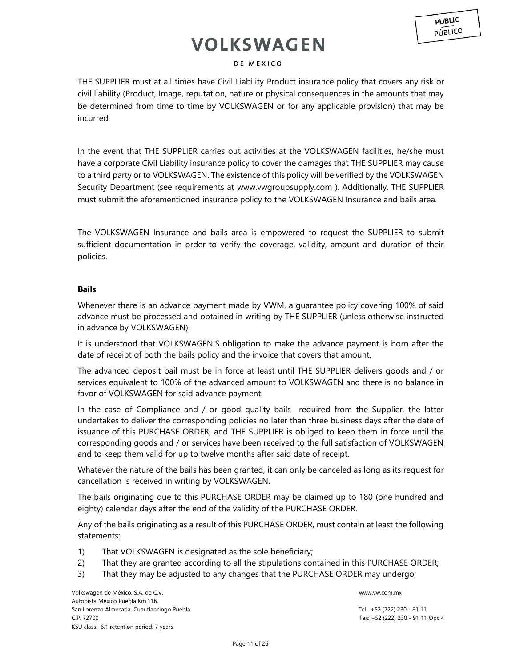### DE MEXICO

THE SUPPLIER must at all times have Civil Liability Product insurance policy that covers any risk or civil liability (Product, Image, reputation, nature or physical consequences in the amounts that may be determined from time to time by VOLKSWAGEN or for any applicable provision) that may be incurred.

In the event that THE SUPPLIER carries out activities at the VOLKSWAGEN facilities, he/she must have a corporate Civil Liability insurance policy to cover the damages that THE SUPPLIER may cause to a third party or to VOLKSWAGEN. The existence of this policy will be verified by the VOLKSWAGEN Security Department (see requirements at [www.vwgroupsupply.com](http://www.vwgroupsupply.com/)). Additionally, THE SUPPLIER must submit the aforementioned insurance policy to the VOLKSWAGEN Insurance and bails area.

The VOLKSWAGEN Insurance and bails area is empowered to request the SUPPLIER to submit sufficient documentation in order to verify the coverage, validity, amount and duration of their policies.

### **Bails**

Whenever there is an advance payment made by VWM, a guarantee policy covering 100% of said advance must be processed and obtained in writing by THE SUPPLIER (unless otherwise instructed in advance by VOLKSWAGEN).

It is understood that VOLKSWAGEN'S obligation to make the advance payment is born after the date of receipt of both the bails policy and the invoice that covers that amount.

The advanced deposit bail must be in force at least until THE SUPPLIER delivers goods and / or services equivalent to 100% of the advanced amount to VOLKSWAGEN and there is no balance in favor of VOLKSWAGEN for said advance payment.

In the case of Compliance and / or good quality bails required from the Supplier, the latter undertakes to deliver the corresponding policies no later than three business days after the date of issuance of this PURCHASE ORDER, and THE SUPPLIER is obliged to keep them in force until the corresponding goods and / or services have been received to the full satisfaction of VOLKSWAGEN and to keep them valid for up to twelve months after said date of receipt.

Whatever the nature of the bails has been granted, it can only be canceled as long as its request for cancellation is received in writing by VOLKSWAGEN.

The bails originating due to this PURCHASE ORDER may be claimed up to 180 (one hundred and eighty) calendar days after the end of the validity of the PURCHASE ORDER.

Any of the bails originating as a result of this PURCHASE ORDER, must contain at least the following statements:

- 1) That VOLKSWAGEN is designated as the sole beneficiary;
- 2) That they are granted according to all the stipulations contained in this PURCHASE ORDER;
- 3) That they may be adjusted to any changes that the PURCHASE ORDER may undergo;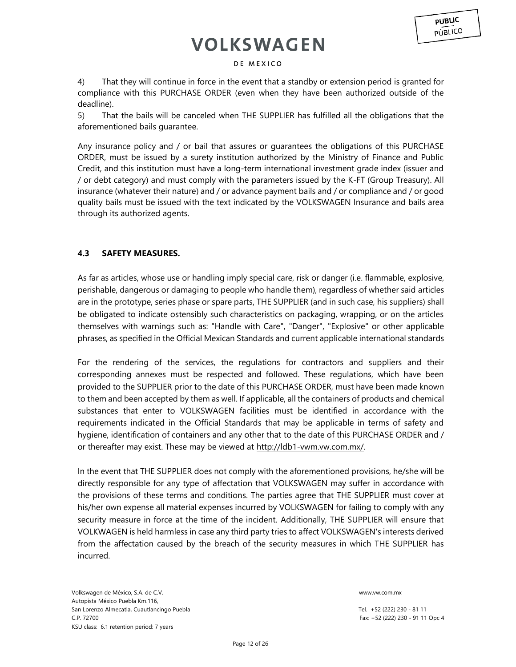#### DE MEXICO

4) That they will continue in force in the event that a standby or extension period is granted for compliance with this PURCHASE ORDER (even when they have been authorized outside of the deadline).

5) That the bails will be canceled when THE SUPPLIER has fulfilled all the obligations that the aforementioned bails guarantee.

Any insurance policy and / or bail that assures or guarantees the obligations of this PURCHASE ORDER, must be issued by a surety institution authorized by the Ministry of Finance and Public Credit, and this institution must have a long-term international investment grade index (issuer and / or debt category) and must comply with the parameters issued by the K-FT (Group Treasury). All insurance (whatever their nature) and / or advance payment bails and / or compliance and / or good quality bails must be issued with the text indicated by the VOLKSWAGEN Insurance and bails area through its authorized agents.

### **4.3 SAFETY MEASURES.**

As far as articles, whose use or handling imply special care, risk or danger (i.e. flammable, explosive, perishable, dangerous or damaging to people who handle them), regardless of whether said articles are in the prototype, series phase or spare parts, THE SUPPLIER (and in such case, his suppliers) shall be obligated to indicate ostensibly such characteristics on packaging, wrapping, or on the articles themselves with warnings such as: "Handle with Care", "Danger", "Explosive" or other applicable phrases, as specified in the Official Mexican Standards and current applicable international standards

For the rendering of the services, the regulations for contractors and suppliers and their corresponding annexes must be respected and followed. These regulations, which have been provided to the SUPPLIER prior to the date of this PURCHASE ORDER, must have been made known to them and been accepted by them as well. If applicable, all the containers of products and chemical substances that enter to VOLKSWAGEN facilities must be identified in accordance with the requirements indicated in the Official Standards that may be applicable in terms of safety and hygiene, identification of containers and any other that to the date of this PURCHASE ORDER and / or thereafter may exist. These may be viewed at [http://ldb1-vwm.vw.com.mx/.](http://ldb1-vwm.vw.com.mx/) 

In the event that THE SUPPLIER does not comply with the aforementioned provisions, he/she will be directly responsible for any type of affectation that VOLKSWAGEN may suffer in accordance with the provisions of these terms and conditions. The parties agree that THE SUPPLIER must cover at his/her own expense all material expenses incurred by VOLKSWAGEN for failing to comply with any security measure in force at the time of the incident. Additionally, THE SUPPLIER will ensure that VOLKWAGEN is held harmless in case any third party tries to affect VOLKSWAGEN's interests derived from the affectation caused by the breach of the security measures in which THE SUPPLIER has incurred.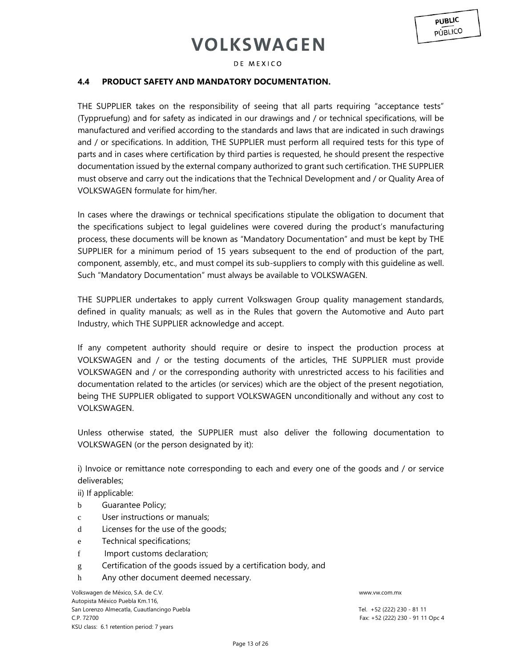DE MEXICO

### **4.4 PRODUCT SAFETY AND MANDATORY DOCUMENTATION.**

THE SUPPLIER takes on the responsibility of seeing that all parts requiring "acceptance tests" (Typpruefung) and for safety as indicated in our drawings and / or technical specifications, will be manufactured and verified according to the standards and laws that are indicated in such drawings and / or specifications. In addition, THE SUPPLIER must perform all required tests for this type of parts and in cases where certification by third parties is requested, he should present the respective documentation issued by the external company authorized to grant such certification. THE SUPPLIER must observe and carry out the indications that the Technical Development and / or Quality Area of VOLKSWAGEN formulate for him/her.

In cases where the drawings or technical specifications stipulate the obligation to document that the specifications subject to legal guidelines were covered during the product's manufacturing process, these documents will be known as "Mandatory Documentation" and must be kept by THE SUPPLIER for a minimum period of 15 years subsequent to the end of production of the part, component, assembly, etc., and must compel its sub-suppliers to comply with this guideline as well. Such "Mandatory Documentation" must always be available to VOLKSWAGEN.

THE SUPPLIER undertakes to apply current Volkswagen Group quality management standards, defined in quality manuals; as well as in the Rules that govern the Automotive and Auto part Industry, which THE SUPPLIER acknowledge and accept.

If any competent authority should require or desire to inspect the production process at VOLKSWAGEN and / or the testing documents of the articles, THE SUPPLIER must provide VOLKSWAGEN and / or the corresponding authority with unrestricted access to his facilities and documentation related to the articles (or services) which are the object of the present negotiation, being THE SUPPLIER obligated to support VOLKSWAGEN unconditionally and without any cost to VOLKSWAGEN.

Unless otherwise stated, the SUPPLIER must also deliver the following documentation to VOLKSWAGEN (or the person designated by it):

i) Invoice or remittance note corresponding to each and every one of the goods and / or service deliverables;

ii) If applicable:

- b Guarantee Policy;
- c User instructions or manuals;
- d Licenses for the use of the goods;
- e Technical specifications;
- f Import customs declaration;
- g Certification of the goods issued by a certification body, and
- h Any other document deemed necessary.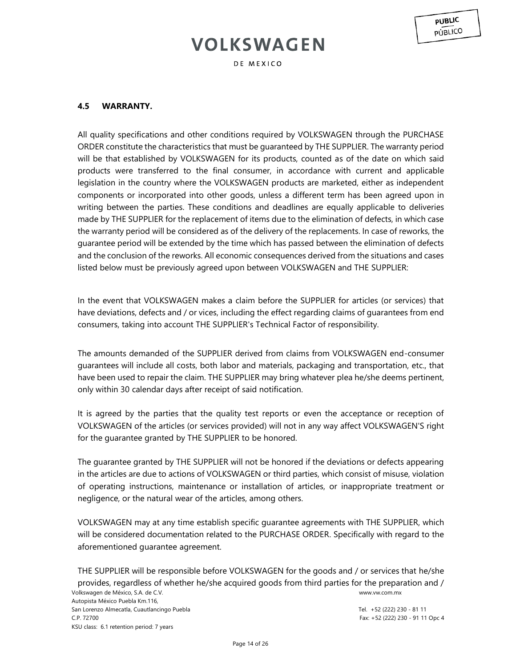DE MEXICO

## **4.5 WARRANTY.**

All quality specifications and other conditions required by VOLKSWAGEN through the PURCHASE ORDER constitute the characteristics that must be guaranteed by THE SUPPLIER. The warranty period will be that established by VOLKSWAGEN for its products, counted as of the date on which said products were transferred to the final consumer, in accordance with current and applicable legislation in the country where the VOLKSWAGEN products are marketed, either as independent components or incorporated into other goods, unless a different term has been agreed upon in writing between the parties. These conditions and deadlines are equally applicable to deliveries made by THE SUPPLIER for the replacement of items due to the elimination of defects, in which case the warranty period will be considered as of the delivery of the replacements. In case of reworks, the guarantee period will be extended by the time which has passed between the elimination of defects and the conclusion of the reworks. All economic consequences derived from the situations and cases listed below must be previously agreed upon between VOLKSWAGEN and THE SUPPLIER:

In the event that VOLKSWAGEN makes a claim before the SUPPLIER for articles (or services) that have deviations, defects and / or vices, including the effect regarding claims of guarantees from end consumers, taking into account THE SUPPLIER's Technical Factor of responsibility.

The amounts demanded of the SUPPLIER derived from claims from VOLKSWAGEN end-consumer guarantees will include all costs, both labor and materials, packaging and transportation, etc., that have been used to repair the claim. THE SUPPLIER may bring whatever plea he/she deems pertinent, only within 30 calendar days after receipt of said notification.

It is agreed by the parties that the quality test reports or even the acceptance or reception of VOLKSWAGEN of the articles (or services provided) will not in any way affect VOLKSWAGEN'S right for the guarantee granted by THE SUPPLIER to be honored.

The guarantee granted by THE SUPPLIER will not be honored if the deviations or defects appearing in the articles are due to actions of VOLKSWAGEN or third parties, which consist of misuse, violation of operating instructions, maintenance or installation of articles, or inappropriate treatment or negligence, or the natural wear of the articles, among others.

VOLKSWAGEN may at any time establish specific guarantee agreements with THE SUPPLIER, which will be considered documentation related to the PURCHASE ORDER. Specifically with regard to the aforementioned guarantee agreement.

Volkswagen de México, S.A. de C.V. www.vw.com.mx THE SUPPLIER will be responsible before VOLKSWAGEN for the goods and / or services that he/she provides, regardless of whether he/she acquired goods from third parties for the preparation and /

Autopista México Puebla Km.116, San Lorenzo Almecatla, Cuautlancingo Puebla **Tel.** +52 (222) 230 - 81 11 C.P. 72700 Fax: +52 (222) 230 - 91 11 Opc 4 KSU class: 6.1 retention period: 7 years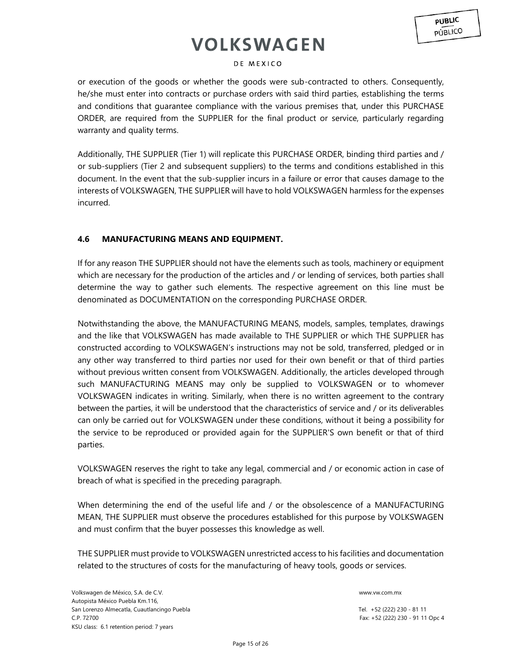### DE MEXICO

or execution of the goods or whether the goods were sub-contracted to others. Consequently, he/she must enter into contracts or purchase orders with said third parties, establishing the terms and conditions that guarantee compliance with the various premises that, under this PURCHASE ORDER, are required from the SUPPLIER for the final product or service, particularly regarding warranty and quality terms.

Additionally, THE SUPPLIER (Tier 1) will replicate this PURCHASE ORDER, binding third parties and / or sub-suppliers (Tier 2 and subsequent suppliers) to the terms and conditions established in this document. In the event that the sub-supplier incurs in a failure or error that causes damage to the interests of VOLKSWAGEN, THE SUPPLIER will have to hold VOLKSWAGEN harmless for the expenses incurred.

## **4.6 MANUFACTURING MEANS AND EQUIPMENT.**

If for any reason THE SUPPLIER should not have the elements such as tools, machinery or equipment which are necessary for the production of the articles and / or lending of services, both parties shall determine the way to gather such elements. The respective agreement on this line must be denominated as DOCUMENTATION on the corresponding PURCHASE ORDER.

Notwithstanding the above, the MANUFACTURING MEANS, models, samples, templates, drawings and the like that VOLKSWAGEN has made available to THE SUPPLIER or which THE SUPPLIER has constructed according to VOLKSWAGEN's instructions may not be sold, transferred, pledged or in any other way transferred to third parties nor used for their own benefit or that of third parties without previous written consent from VOLKSWAGEN. Additionally, the articles developed through such MANUFACTURING MEANS may only be supplied to VOLKSWAGEN or to whomever VOLKSWAGEN indicates in writing. Similarly, when there is no written agreement to the contrary between the parties, it will be understood that the characteristics of service and / or its deliverables can only be carried out for VOLKSWAGEN under these conditions, without it being a possibility for the service to be reproduced or provided again for the SUPPLIER'S own benefit or that of third parties.

VOLKSWAGEN reserves the right to take any legal, commercial and / or economic action in case of breach of what is specified in the preceding paragraph.

When determining the end of the useful life and / or the obsolescence of a MANUFACTURING MEAN, THE SUPPLIER must observe the procedures established for this purpose by VOLKSWAGEN and must confirm that the buyer possesses this knowledge as well.

THE SUPPLIER must provide to VOLKSWAGEN unrestricted access to his facilities and documentation related to the structures of costs for the manufacturing of heavy tools, goods or services.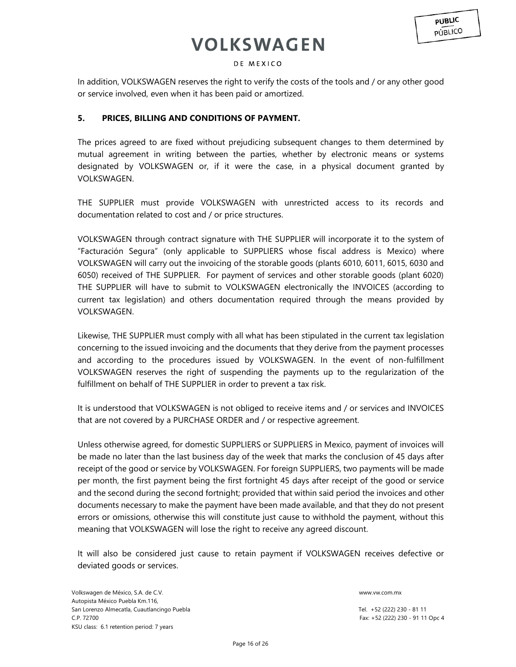### DE MEXICO

In addition, VOLKSWAGEN reserves the right to verify the costs of the tools and / or any other good or service involved, even when it has been paid or amortized.

### **5. PRICES, BILLING AND CONDITIONS OF PAYMENT.**

The prices agreed to are fixed without prejudicing subsequent changes to them determined by mutual agreement in writing between the parties, whether by electronic means or systems designated by VOLKSWAGEN or, if it were the case, in a physical document granted by VOLKSWAGEN.

THE SUPPLIER must provide VOLKSWAGEN with unrestricted access to its records and documentation related to cost and / or price structures.

VOLKSWAGEN through contract signature with THE SUPPLIER will incorporate it to the system of "Facturación Segura" (only applicable to SUPPLIERS whose fiscal address is Mexico) where VOLKSWAGEN will carry out the invoicing of the storable goods (plants 6010, 6011, 6015, 6030 and 6050) received of THE SUPPLIER. For payment of services and other storable goods (plant 6020) THE SUPPLIER will have to submit to VOLKSWAGEN electronically the INVOICES (according to current tax legislation) and others documentation required through the means provided by VOLKSWAGEN.

Likewise, THE SUPPLIER must comply with all what has been stipulated in the current tax legislation concerning to the issued invoicing and the documents that they derive from the payment processes and according to the procedures issued by VOLKSWAGEN. In the event of non-fulfillment VOLKSWAGEN reserves the right of suspending the payments up to the regularization of the fulfillment on behalf of THE SUPPLIER in order to prevent a tax risk.

It is understood that VOLKSWAGEN is not obliged to receive items and / or services and INVOICES that are not covered by a PURCHASE ORDER and / or respective agreement.

Unless otherwise agreed, for domestic SUPPLIERS or SUPPLIERS in Mexico, payment of invoices will be made no later than the last business day of the week that marks the conclusion of 45 days after receipt of the good or service by VOLKSWAGEN. For foreign SUPPLIERS, two payments will be made per month, the first payment being the first fortnight 45 days after receipt of the good or service and the second during the second fortnight; provided that within said period the invoices and other documents necessary to make the payment have been made available, and that they do not present errors or omissions, otherwise this will constitute just cause to withhold the payment, without this meaning that VOLKSWAGEN will lose the right to receive any agreed discount.

It will also be considered just cause to retain payment if VOLKSWAGEN receives defective or deviated goods or services.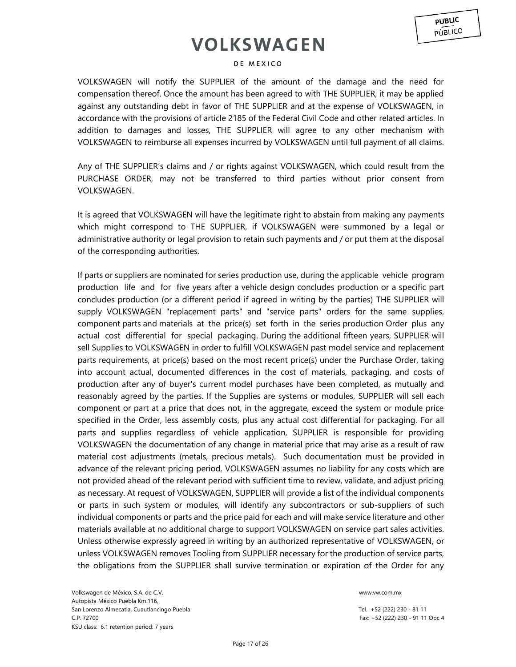#### DE MEXICO

VOLKSWAGEN will notify the SUPPLIER of the amount of the damage and the need for compensation thereof. Once the amount has been agreed to with THE SUPPLIER, it may be applied against any outstanding debt in favor of THE SUPPLIER and at the expense of VOLKSWAGEN, in accordance with the provisions of article 2185 of the Federal Civil Code and other related articles. In addition to damages and losses, THE SUPPLIER will agree to any other mechanism with VOLKSWAGEN to reimburse all expenses incurred by VOLKSWAGEN until full payment of all claims.

Any of THE SUPPLIER's claims and / or rights against VOLKSWAGEN, which could result from the PURCHASE ORDER, may not be transferred to third parties without prior consent from VOLKSWAGEN.

It is agreed that VOLKSWAGEN will have the legitimate right to abstain from making any payments which might correspond to THE SUPPLIER, if VOLKSWAGEN were summoned by a legal or administrative authority or legal provision to retain such payments and / or put them at the disposal of the corresponding authorities.

If parts or suppliers are nominated for series production use, during the applicable vehicle program production life and for five years after a vehicle design concludes production or a specific part concludes production (or a different period if agreed in writing by the parties) THE SUPPLIER will supply VOLKSWAGEN "replacement parts" and "service parts" orders for the same supplies, component parts and materials at the price(s) set forth in the series production Order plus any actual cost differential for special packaging. During the additional fifteen years, SUPPLIER will sell Supplies to VOLKSWAGEN in order to fulfill VOLKSWAGEN past model service and replacement parts requirements, at price(s) based on the most recent price(s) under the Purchase Order, taking into account actual, documented differences in the cost of materials, packaging, and costs of production after any of buyer's current model purchases have been completed, as mutually and reasonably agreed by the parties. If the Supplies are systems or modules, SUPPLIER will sell each component or part at a price that does not, in the aggregate, exceed the system or module price specified in the Order, less assembly costs, plus any actual cost differential for packaging. For all parts and supplies regardless of vehicle application, SUPPLIER is responsible for providing VOLKSWAGEN the documentation of any change in material price that may arise as a result of raw material cost adjustments (metals, precious metals). Such documentation must be provided in advance of the relevant pricing period. VOLKSWAGEN assumes no liability for any costs which are not provided ahead of the relevant period with sufficient time to review, validate, and adjust pricing as necessary. At request of VOLKSWAGEN, SUPPLIER will provide a list of the individual components or parts in such system or modules, will identify any subcontractors or sub-suppliers of such individual components or parts and the price paid for each and will make service literature and other materials available at no additional charge to support VOLKSWAGEN on service part sales activities. Unless otherwise expressly agreed in writing by an authorized representative of VOLKSWAGEN, or unless VOLKSWAGEN removes Tooling from SUPPLIER necessary for the production of service parts, the obligations from the SUPPLIER shall survive termination or expiration of the Order for any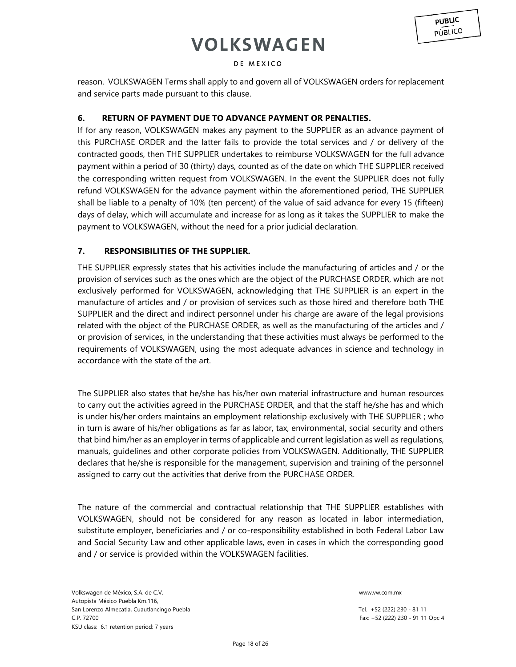### DE MEXICO

reason. VOLKSWAGEN Terms shall apply to and govern all of VOLKSWAGEN orders for replacement and service parts made pursuant to this clause.

## **6. RETURN OF PAYMENT DUE TO ADVANCE PAYMENT OR PENALTIES.**

If for any reason, VOLKSWAGEN makes any payment to the SUPPLIER as an advance payment of this PURCHASE ORDER and the latter fails to provide the total services and / or delivery of the contracted goods, then THE SUPPLIER undertakes to reimburse VOLKSWAGEN for the full advance payment within a period of 30 (thirty) days, counted as of the date on which THE SUPPLIER received the corresponding written request from VOLKSWAGEN. In the event the SUPPLIER does not fully refund VOLKSWAGEN for the advance payment within the aforementioned period, THE SUPPLIER shall be liable to a penalty of 10% (ten percent) of the value of said advance for every 15 (fifteen) days of delay, which will accumulate and increase for as long as it takes the SUPPLIER to make the payment to VOLKSWAGEN, without the need for a prior judicial declaration.

## **7. RESPONSIBILITIES OF THE SUPPLIER.**

THE SUPPLIER expressly states that his activities include the manufacturing of articles and / or the provision of services such as the ones which are the object of the PURCHASE ORDER, which are not exclusively performed for VOLKSWAGEN, acknowledging that THE SUPPLIER is an expert in the manufacture of articles and / or provision of services such as those hired and therefore both THE SUPPLIER and the direct and indirect personnel under his charge are aware of the legal provisions related with the object of the PURCHASE ORDER, as well as the manufacturing of the articles and / or provision of services, in the understanding that these activities must always be performed to the requirements of VOLKSWAGEN, using the most adequate advances in science and technology in accordance with the state of the art.

The SUPPLIER also states that he/she has his/her own material infrastructure and human resources to carry out the activities agreed in the PURCHASE ORDER, and that the staff he/she has and which is under his/her orders maintains an employment relationship exclusively with THE SUPPLIER ; who in turn is aware of his/her obligations as far as labor, tax, environmental, social security and others that bind him/her as an employer in terms of applicable and current legislation as well as regulations, manuals, guidelines and other corporate policies from VOLKSWAGEN. Additionally, THE SUPPLIER declares that he/she is responsible for the management, supervision and training of the personnel assigned to carry out the activities that derive from the PURCHASE ORDER.

The nature of the commercial and contractual relationship that THE SUPPLIER establishes with VOLKSWAGEN, should not be considered for any reason as located in labor intermediation, substitute employer, beneficiaries and / or co-responsibility established in both Federal Labor Law and Social Security Law and other applicable laws, even in cases in which the corresponding good and / or service is provided within the VOLKSWAGEN facilities.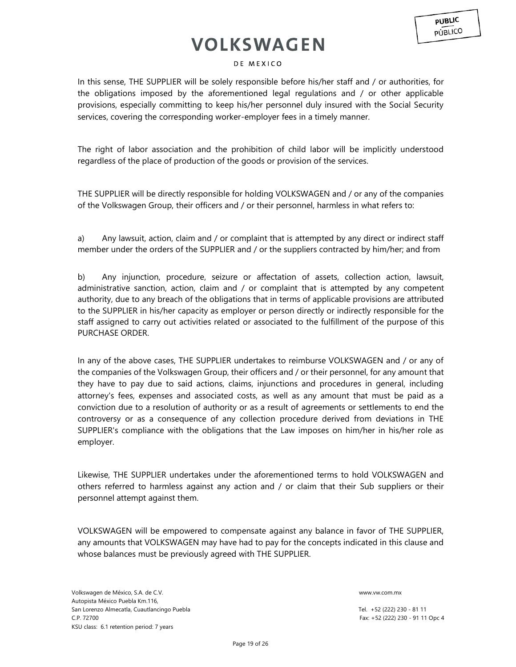### DE MEXICO

In this sense, THE SUPPLIER will be solely responsible before his/her staff and / or authorities, for the obligations imposed by the aforementioned legal regulations and / or other applicable provisions, especially committing to keep his/her personnel duly insured with the Social Security services, covering the corresponding worker-employer fees in a timely manner.

The right of labor association and the prohibition of child labor will be implicitly understood regardless of the place of production of the goods or provision of the services.

THE SUPPLIER will be directly responsible for holding VOLKSWAGEN and / or any of the companies of the Volkswagen Group, their officers and / or their personnel, harmless in what refers to:

a) Any lawsuit, action, claim and / or complaint that is attempted by any direct or indirect staff member under the orders of the SUPPLIER and / or the suppliers contracted by him/her; and from

b) Any injunction, procedure, seizure or affectation of assets, collection action, lawsuit, administrative sanction, action, claim and / or complaint that is attempted by any competent authority, due to any breach of the obligations that in terms of applicable provisions are attributed to the SUPPLIER in his/her capacity as employer or person directly or indirectly responsible for the staff assigned to carry out activities related or associated to the fulfillment of the purpose of this PURCHASE ORDER.

In any of the above cases, THE SUPPLIER undertakes to reimburse VOLKSWAGEN and / or any of the companies of the Volkswagen Group, their officers and / or their personnel, for any amount that they have to pay due to said actions, claims, injunctions and procedures in general, including attorney's fees, expenses and associated costs, as well as any amount that must be paid as a conviction due to a resolution of authority or as a result of agreements or settlements to end the controversy or as a consequence of any collection procedure derived from deviations in THE SUPPLIER's compliance with the obligations that the Law imposes on him/her in his/her role as employer.

Likewise, THE SUPPLIER undertakes under the aforementioned terms to hold VOLKSWAGEN and others referred to harmless against any action and / or claim that their Sub suppliers or their personnel attempt against them.

VOLKSWAGEN will be empowered to compensate against any balance in favor of THE SUPPLIER, any amounts that VOLKSWAGEN may have had to pay for the concepts indicated in this clause and whose balances must be previously agreed with THE SUPPLIER.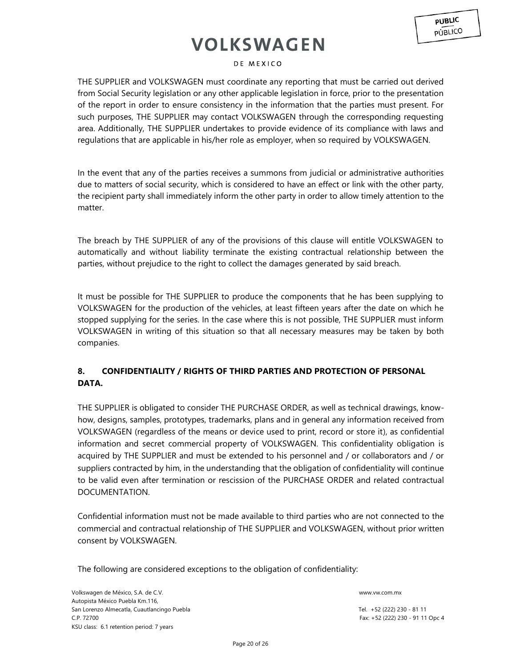### DE MEXICO

THE SUPPLIER and VOLKSWAGEN must coordinate any reporting that must be carried out derived from Social Security legislation or any other applicable legislation in force, prior to the presentation of the report in order to ensure consistency in the information that the parties must present. For such purposes, THE SUPPLIER may contact VOLKSWAGEN through the corresponding requesting area. Additionally, THE SUPPLIER undertakes to provide evidence of its compliance with laws and regulations that are applicable in his/her role as employer, when so required by VOLKSWAGEN.

In the event that any of the parties receives a summons from judicial or administrative authorities due to matters of social security, which is considered to have an effect or link with the other party, the recipient party shall immediately inform the other party in order to allow timely attention to the matter.

The breach by THE SUPPLIER of any of the provisions of this clause will entitle VOLKSWAGEN to automatically and without liability terminate the existing contractual relationship between the parties, without prejudice to the right to collect the damages generated by said breach.

It must be possible for THE SUPPLIER to produce the components that he has been supplying to VOLKSWAGEN for the production of the vehicles, at least fifteen years after the date on which he stopped supplying for the series. In the case where this is not possible, THE SUPPLIER must inform VOLKSWAGEN in writing of this situation so that all necessary measures may be taken by both companies.

## **8. CONFIDENTIALITY / RIGHTS OF THIRD PARTIES AND PROTECTION OF PERSONAL DATA.**

THE SUPPLIER is obligated to consider THE PURCHASE ORDER, as well as technical drawings, knowhow, designs, samples, prototypes, trademarks, plans and in general any information received from VOLKSWAGEN (regardless of the means or device used to print, record or store it), as confidential information and secret commercial property of VOLKSWAGEN. This confidentiality obligation is acquired by THE SUPPLIER and must be extended to his personnel and / or collaborators and / or suppliers contracted by him, in the understanding that the obligation of confidentiality will continue to be valid even after termination or rescission of the PURCHASE ORDER and related contractual DOCUMENTATION.

Confidential information must not be made available to third parties who are not connected to the commercial and contractual relationship of THE SUPPLIER and VOLKSWAGEN, without prior written consent by VOLKSWAGEN.

The following are considered exceptions to the obligation of confidentiality: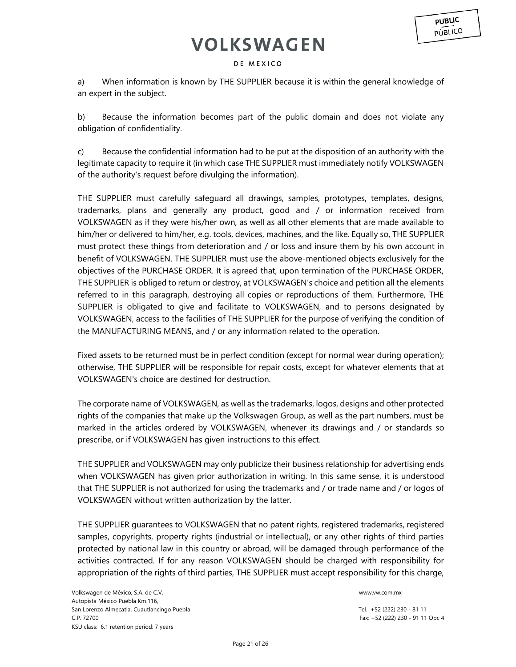### DE MEXICO

a) When information is known by THE SUPPLIER because it is within the general knowledge of an expert in the subject.

b) Because the information becomes part of the public domain and does not violate any obligation of confidentiality.

c) Because the confidential information had to be put at the disposition of an authority with the legitimate capacity to require it (in which case THE SUPPLIER must immediately notify VOLKSWAGEN of the authority's request before divulging the information).

THE SUPPLIER must carefully safeguard all drawings, samples, prototypes, templates, designs, trademarks, plans and generally any product, good and / or information received from VOLKSWAGEN as if they were his/her own, as well as all other elements that are made available to him/her or delivered to him/her, e.g. tools, devices, machines, and the like. Equally so, THE SUPPLIER must protect these things from deterioration and / or loss and insure them by his own account in benefit of VOLKSWAGEN. THE SUPPLIER must use the above-mentioned objects exclusively for the objectives of the PURCHASE ORDER. It is agreed that, upon termination of the PURCHASE ORDER, THE SUPPLIER is obliged to return or destroy, at VOLKSWAGEN's choice and petition all the elements referred to in this paragraph, destroying all copies or reproductions of them. Furthermore, THE SUPPLIER is obligated to give and facilitate to VOLKSWAGEN, and to persons designated by VOLKSWAGEN, access to the facilities of THE SUPPLIER for the purpose of verifying the condition of the MANUFACTURING MEANS, and / or any information related to the operation.

Fixed assets to be returned must be in perfect condition (except for normal wear during operation); otherwise, THE SUPPLIER will be responsible for repair costs, except for whatever elements that at VOLKSWAGEN's choice are destined for destruction.

The corporate name of VOLKSWAGEN, as well as the trademarks, logos, designs and other protected rights of the companies that make up the Volkswagen Group, as well as the part numbers, must be marked in the articles ordered by VOLKSWAGEN, whenever its drawings and / or standards so prescribe, or if VOLKSWAGEN has given instructions to this effect.

THE SUPPLIER and VOLKSWAGEN may only publicize their business relationship for advertising ends when VOLKSWAGEN has given prior authorization in writing. In this same sense, it is understood that THE SUPPLIER is not authorized for using the trademarks and / or trade name and / or logos of VOLKSWAGEN without written authorization by the latter.

THE SUPPLIER guarantees to VOLKSWAGEN that no patent rights, registered trademarks, registered samples, copyrights, property rights (industrial or intellectual), or any other rights of third parties protected by national law in this country or abroad, will be damaged through performance of the activities contracted. If for any reason VOLKSWAGEN should be charged with responsibility for appropriation of the rights of third parties, THE SUPPLIER must accept responsibility for this charge,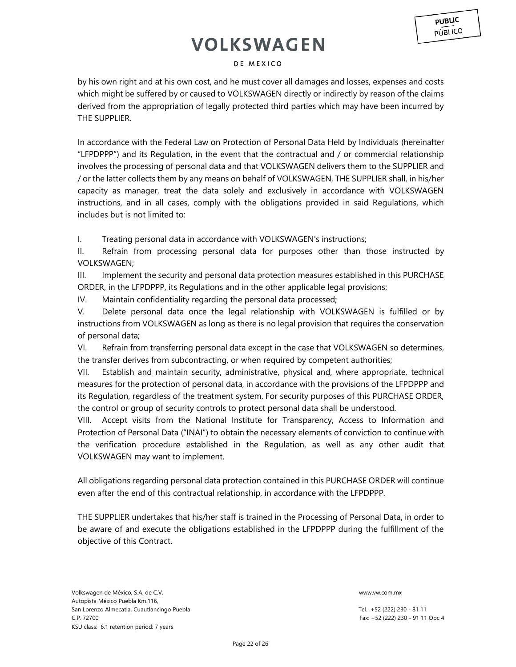### DE MEXICO

by his own right and at his own cost, and he must cover all damages and losses, expenses and costs which might be suffered by or caused to VOLKSWAGEN directly or indirectly by reason of the claims derived from the appropriation of legally protected third parties which may have been incurred by THE SUPPLIER.

In accordance with the Federal Law on Protection of Personal Data Held by Individuals (hereinafter "LFPDPPP") and its Regulation, in the event that the contractual and / or commercial relationship involves the processing of personal data and that VOLKSWAGEN delivers them to the SUPPLIER and / or the latter collects them by any means on behalf of VOLKSWAGEN, THE SUPPLIER shall, in his/her capacity as manager, treat the data solely and exclusively in accordance with VOLKSWAGEN instructions, and in all cases, comply with the obligations provided in said Regulations, which includes but is not limited to:

I. Treating personal data in accordance with VOLKSWAGEN's instructions;

II. Refrain from processing personal data for purposes other than those instructed by VOLKSWAGEN;

III. Implement the security and personal data protection measures established in this PURCHASE ORDER, in the LFPDPPP, its Regulations and in the other applicable legal provisions;

IV. Maintain confidentiality regarding the personal data processed;

V. Delete personal data once the legal relationship with VOLKSWAGEN is fulfilled or by instructions from VOLKSWAGEN as long as there is no legal provision that requires the conservation of personal data;

VI. Refrain from transferring personal data except in the case that VOLKSWAGEN so determines, the transfer derives from subcontracting, or when required by competent authorities;

VII. Establish and maintain security, administrative, physical and, where appropriate, technical measures for the protection of personal data, in accordance with the provisions of the LFPDPPP and its Regulation, regardless of the treatment system. For security purposes of this PURCHASE ORDER, the control or group of security controls to protect personal data shall be understood.

VIII. Accept visits from the National Institute for Transparency, Access to Information and Protection of Personal Data ("INAI") to obtain the necessary elements of conviction to continue with the verification procedure established in the Regulation, as well as any other audit that VOLKSWAGEN may want to implement.

All obligations regarding personal data protection contained in this PURCHASE ORDER will continue even after the end of this contractual relationship, in accordance with the LFPDPPP.

THE SUPPLIER undertakes that his/her staff is trained in the Processing of Personal Data, in order to be aware of and execute the obligations established in the LFPDPPP during the fulfillment of the objective of this Contract.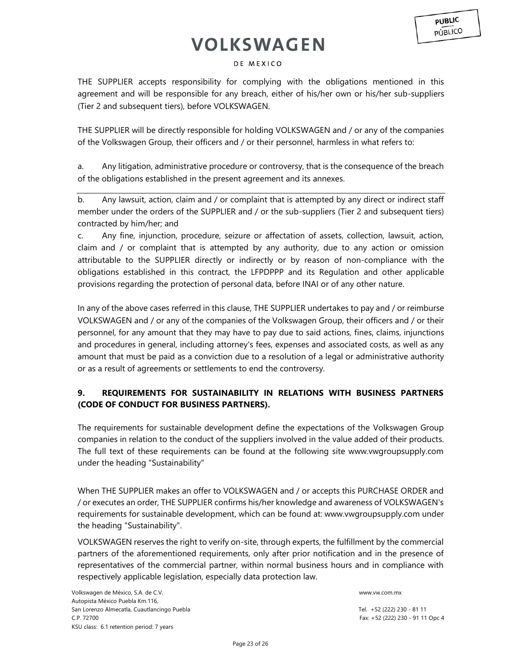### DE MEXICO

THE SUPPLIER accepts responsibility for complying with the obligations mentioned in this agreement and will be responsible for any breach, either of his/her own or his/her sub-suppliers (Tier 2 and subsequent tiers), before VOLKSWAGEN.

THE SUPPLIER will be directly responsible for holding VOLKSWAGEN and / or any of the companies of the Volkswagen Group, their officers and / or their personnel, harmless in what refers to:

a. Any litigation, administrative procedure or controversy, that is the consequence of the breach of the obligations established in the present agreement and its annexes.

b. Any lawsuit, action, claim and / or complaint that is attempted by any direct or indirect staff member under the orders of the SUPPLIER and / or the sub-suppliers (Tier 2 and subsequent tiers) contracted by him/her; and

c. Any fine, injunction, procedure, seizure or affectation of assets, collection, lawsuit, action, claim and / or complaint that is attempted by any authority, due to any action or omission attributable to the SUPPLIER directly or indirectly or by reason of non-compliance with the obligations established in this contract, the LFPDPPP and its Regulation and other applicable provisions regarding the protection of personal data, before INAI or of any other nature.

In any of the above cases referred in this clause, THE SUPPLIER undertakes to pay and / or reimburse VOLKSWAGEN and / or any of the companies of the Volkswagen Group, their officers and / or their personnel, for any amount that they may have to pay due to said actions, fines, claims, injunctions and procedures in general, including attorney's fees, expenses and associated costs, as well as any amount that must be paid as a conviction due to a resolution of a legal or administrative authority or as a result of agreements or settlements to end the controversy.

## **9. REQUIREMENTS FOR SUSTAINABILITY IN RELATIONS WITH BUSINESS PARTNERS (CODE OF CONDUCT FOR BUSINESS PARTNERS).**

The requirements for sustainable development define the expectations of the Volkswagen Group companies in relation to the conduct of the suppliers involved in the value added of their products. The full text of these requirements can be found at the following site www.vwgroupsupply.com under the heading "Sustainability"

When THE SUPPLIER makes an offer to VOLKSWAGEN and / or accepts this PURCHASE ORDER and / or executes an order, THE SUPPLIER confirms his/her knowledge and awareness of VOLKSWAGEN's requirements for sustainable development, which can be found at: www.vwgroupsupply.com under the heading "Sustainability".

VOLKSWAGEN reserves the right to verify on-site, through experts, the fulfillment by the commercial partners of the aforementioned requirements, only after prior notification and in the presence of representatives of the commercial partner, within normal business hours and in compliance with respectively applicable legislation, especially data protection law.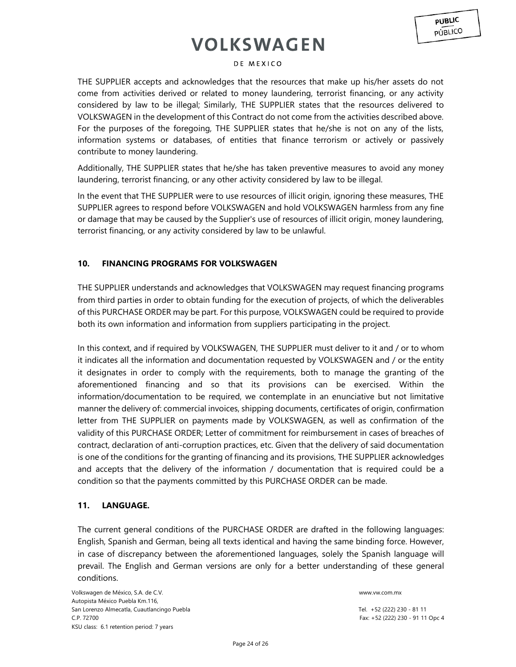#### DE MEXICO

THE SUPPLIER accepts and acknowledges that the resources that make up his/her assets do not come from activities derived or related to money laundering, terrorist financing, or any activity considered by law to be illegal; Similarly, THE SUPPLIER states that the resources delivered to VOLKSWAGEN in the development of this Contract do not come from the activities described above. For the purposes of the foregoing, THE SUPPLIER states that he/she is not on any of the lists, information systems or databases, of entities that finance terrorism or actively or passively contribute to money laundering.

Additionally, THE SUPPLIER states that he/she has taken preventive measures to avoid any money laundering, terrorist financing, or any other activity considered by law to be illegal.

In the event that THE SUPPLIER were to use resources of illicit origin, ignoring these measures, THE SUPPLIER agrees to respond before VOLKSWAGEN and hold VOLKSWAGEN harmless from any fine or damage that may be caused by the Supplier's use of resources of illicit origin, money laundering, terrorist financing, or any activity considered by law to be unlawful.

### **10. FINANCING PROGRAMS FOR VOLKSWAGEN**

THE SUPPLIER understands and acknowledges that VOLKSWAGEN may request financing programs from third parties in order to obtain funding for the execution of projects, of which the deliverables of this PURCHASE ORDER may be part. For this purpose, VOLKSWAGEN could be required to provide both its own information and information from suppliers participating in the project.

In this context, and if required by VOLKSWAGEN, THE SUPPLIER must deliver to it and / or to whom it indicates all the information and documentation requested by VOLKSWAGEN and / or the entity it designates in order to comply with the requirements, both to manage the granting of the aforementioned financing and so that its provisions can be exercised. Within the information/documentation to be required, we contemplate in an enunciative but not limitative manner the delivery of: commercial invoices, shipping documents, certificates of origin, confirmation letter from THE SUPPLIER on payments made by VOLKSWAGEN, as well as confirmation of the validity of this PURCHASE ORDER; Letter of commitment for reimbursement in cases of breaches of contract, declaration of anti-corruption practices, etc. Given that the delivery of said documentation is one of the conditions for the granting of financing and its provisions, THE SUPPLIER acknowledges and accepts that the delivery of the information / documentation that is required could be a condition so that the payments committed by this PURCHASE ORDER can be made.

### **11. LANGUAGE.**

The current general conditions of the PURCHASE ORDER are drafted in the following languages: English, Spanish and German, being all texts identical and having the same binding force. However, in case of discrepancy between the aforementioned languages, solely the Spanish language will prevail. The English and German versions are only for a better understanding of these general conditions.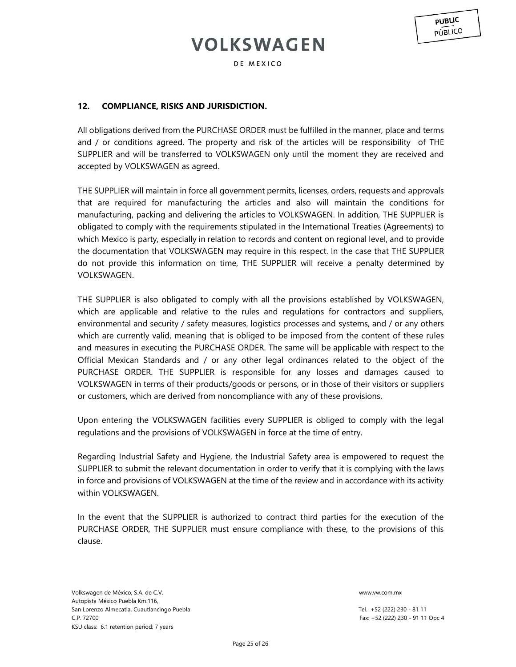DE MEXICO

**PUBLIC** 

## **12. COMPLIANCE, RISKS AND JURISDICTION.**

All obligations derived from the PURCHASE ORDER must be fulfilled in the manner, place and terms and / or conditions agreed. The property and risk of the articles will be responsibility of THE SUPPLIER and will be transferred to VOLKSWAGEN only until the moment they are received and accepted by VOLKSWAGEN as agreed.

THE SUPPLIER will maintain in force all government permits, licenses, orders, requests and approvals that are required for manufacturing the articles and also will maintain the conditions for manufacturing, packing and delivering the articles to VOLKSWAGEN. In addition, THE SUPPLIER is obligated to comply with the requirements stipulated in the International Treaties (Agreements) to which Mexico is party, especially in relation to records and content on regional level, and to provide the documentation that VOLKSWAGEN may require in this respect. In the case that THE SUPPLIER do not provide this information on time, THE SUPPLIER will receive a penalty determined by VOLKSWAGEN.

THE SUPPLIER is also obligated to comply with all the provisions established by VOLKSWAGEN, which are applicable and relative to the rules and regulations for contractors and suppliers, environmental and security / safety measures, logistics processes and systems, and / or any others which are currently valid, meaning that is obliged to be imposed from the content of these rules and measures in executing the PURCHASE ORDER. The same will be applicable with respect to the Official Mexican Standards and / or any other legal ordinances related to the object of the PURCHASE ORDER. THE SUPPLIER is responsible for any losses and damages caused to VOLKSWAGEN in terms of their products/goods or persons, or in those of their visitors or suppliers or customers, which are derived from noncompliance with any of these provisions.

Upon entering the VOLKSWAGEN facilities every SUPPLIER is obliged to comply with the legal regulations and the provisions of VOLKSWAGEN in force at the time of entry.

Regarding Industrial Safety and Hygiene, the Industrial Safety area is empowered to request the SUPPLIER to submit the relevant documentation in order to verify that it is complying with the laws in force and provisions of VOLKSWAGEN at the time of the review and in accordance with its activity within VOLKSWAGEN.

In the event that the SUPPLIER is authorized to contract third parties for the execution of the PURCHASE ORDER, THE SUPPLIER must ensure compliance with these, to the provisions of this clause.